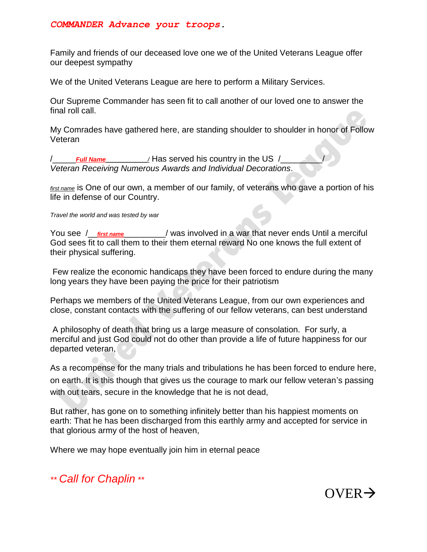## *COMMANDER Advance your troops.*

Family and friends of our deceased love one we of the United Veterans League offer our deepest sympathy

We of the United Veterans League are here to perform a Military Services.

Our Supreme Commander has seen fit to call another of our loved one to answer the final roll call.

My Comrades have gathered here, are standing shoulder to shoulder in honor of Follow Veteran

/\_\_\_\_\_*Full Name\_\_\_\_\_\_\_\_\_\_\_\_/* Has served his country in the US /\_\_\_\_\_\_\_\_\_/ *Veteran Receiving Numerous Awards and Individual Decorations*.

*first name* is One of our own, a member of our family, of veterans who gave a portion of his life in defense of our Country.

*Travel the world and was tested by war*

You see / *first name* / was involved in a war that never ends Until a merciful God sees fit to call them to their them eternal reward No one knows the full extent of their physical suffering.

Few realize the economic handicaps they have been forced to endure during the many long years they have been paying the price for their patriotism

Perhaps we members of the United Veterans League, from our own experiences and close, constant contacts with the suffering of our fellow veterans, can best understand

A philosophy of death that bring us a large measure of consolation. For surly, a merciful and just God could not do other than provide a life of future happiness for our departed veteran,

As a recompense for the many trials and tribulations he has been forced to endure here, on earth. It is this though that gives us the courage to mark our fellow veteran's passing with out tears, secure in the knowledge that he is not dead,

But rather, has gone on to something infinitely better than his happiest moments on earth: That he has been discharged from this earthly army and accepted for service in that glorious army of the host of heaven,

Where we may hope eventually join him in eternal peace

*\*\* Call for Chaplin \*\**

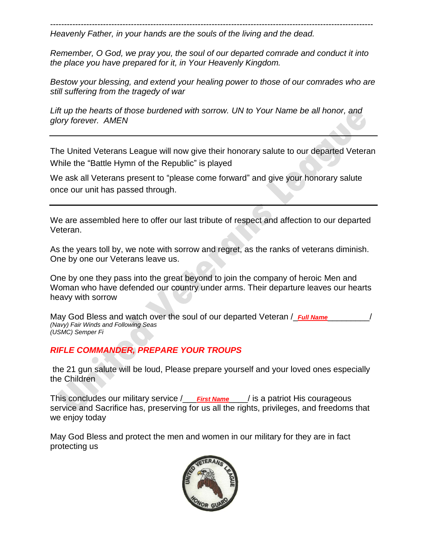-------------------------------------------------------------------------------------------------------------------- *Heavenly Father, in your hands are the souls of the living and the dead.*

*Remember, O God, we pray you, the soul of our departed comrade and conduct it into the place you have prepared for it, in Your Heavenly Kingdom.*

*Bestow your blessing, and extend your healing power to those of our comrades who are still suffering from the tragedy of war*

*Lift up the hearts of those burdened with sorrow. UN to Your Name be all honor, and glory forever. AMEN*

The United Veterans League will now give their honorary salute to our departed Veteran While the "Battle Hymn of the Republic" is played

We ask all Veterans present to "please come forward" and give your honorary salute once our unit has passed through.

We are assembled here to offer our last tribute of respect and affection to our departed Veteran.

As the years toll by, we note with sorrow and regret, as the ranks of veterans diminish. One by one our Veterans leave us.

One by one they pass into the great beyond to join the company of heroic Men and Woman who have defended our country under arms. Their departure leaves our hearts heavy with sorrow

May God Bless and watch over the soul of our departed Veteran / *Full Name (Navy) Fair Winds and Following Seas (USMC) Semper Fi*

## *RIFLE COMMANDER, PREPARE YOUR TROUPS*

the 21 gun salute will be loud, Please prepare yourself and your loved ones especially the Children

This concludes our military service /\_\_\_*First Name*\_\_\_\_/ is a patriot His courageous service and Sacrifice has, preserving for us all the rights, privileges, and freedoms that we enjoy today

May God Bless and protect the men and women in our military for they are in fact protecting us